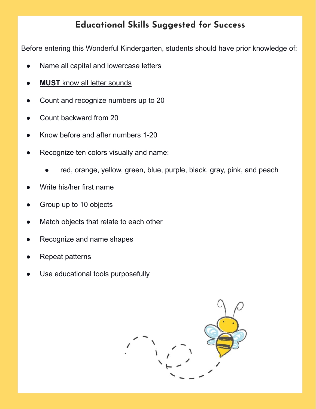## **Educational Skills Suggested for Success**

Before entering this Wonderful Kindergarten, students should have prior knowledge of:

- Name all capital and lowercase letters
- **MUST** know all letter sounds
- Count and recognize numbers up to 20
- Count backward from 20
- Know before and after numbers 1-20
- Recognize ten colors visually and name:
	- red, orange, yellow, green, blue, purple, black, gray, pink, and peach
- Write his/her first name
- Group up to 10 objects
- Match objects that relate to each other
- Recognize and name shapes
- **Repeat patterns**
- Use educational tools purposefully

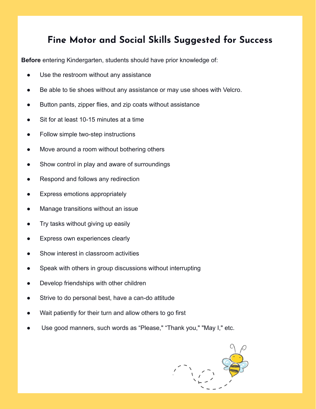## **Fine Motor and Social Skills Suggested for Success**

**Before** entering Kindergarten, students should have prior knowledge of:

- Use the restroom without any assistance
- Be able to tie shoes without any assistance or may use shoes with Velcro.
- Button pants, zipper flies, and zip coats without assistance
- Sit for at least 10-15 minutes at a time
- Follow simple two-step instructions
- Move around a room without bothering others
- Show control in play and aware of surroundings
- Respond and follows any redirection
- Express emotions appropriately
- Manage transitions without an issue
- Try tasks without giving up easily
- Express own experiences clearly
- Show interest in classroom activities
- Speak with others in group discussions without interrupting
- Develop friendships with other children
- Strive to do personal best, have a can-do attitude
- Wait patiently for their turn and allow others to go first
- Use good manners, such words as "Please," "Thank you," "May I," etc.